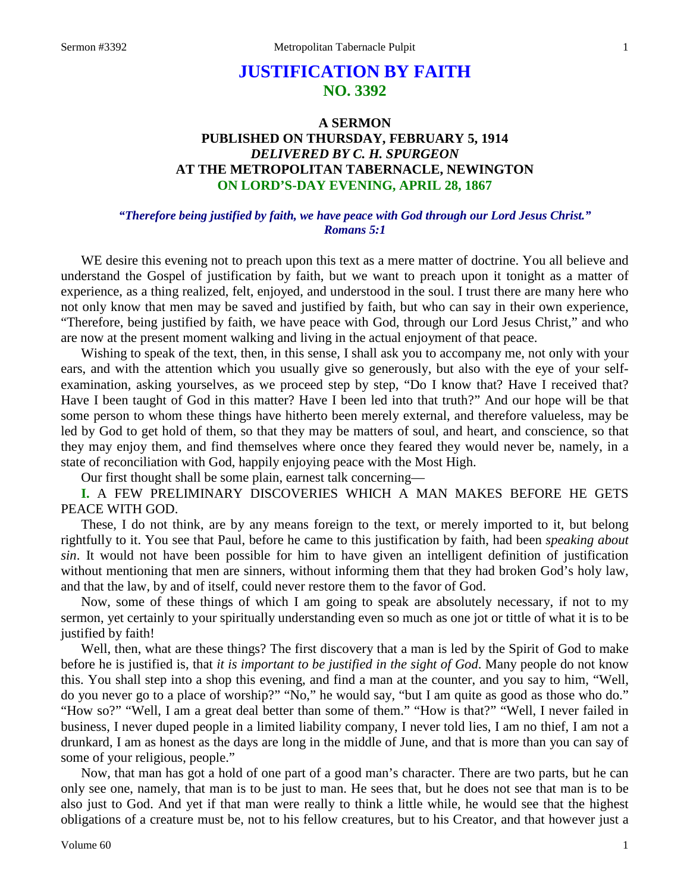# **JUSTIFICATION BY FAITH NO. 3392**

# **A SERMON PUBLISHED ON THURSDAY, FEBRUARY 5, 1914** *DELIVERED BY C. H. SPURGEON* **AT THE METROPOLITAN TABERNACLE, NEWINGTON ON LORD'S-DAY EVENING, APRIL 28, 1867**

#### *"Therefore being justified by faith, we have peace with God through our Lord Jesus Christ." Romans 5:1*

WE desire this evening not to preach upon this text as a mere matter of doctrine. You all believe and understand the Gospel of justification by faith, but we want to preach upon it tonight as a matter of experience, as a thing realized, felt, enjoyed, and understood in the soul. I trust there are many here who not only know that men may be saved and justified by faith, but who can say in their own experience, "Therefore, being justified by faith, we have peace with God, through our Lord Jesus Christ," and who are now at the present moment walking and living in the actual enjoyment of that peace.

Wishing to speak of the text, then, in this sense, I shall ask you to accompany me, not only with your ears, and with the attention which you usually give so generously, but also with the eye of your selfexamination, asking yourselves, as we proceed step by step, "Do I know that? Have I received that? Have I been taught of God in this matter? Have I been led into that truth?" And our hope will be that some person to whom these things have hitherto been merely external, and therefore valueless, may be led by God to get hold of them, so that they may be matters of soul, and heart, and conscience, so that they may enjoy them, and find themselves where once they feared they would never be, namely, in a state of reconciliation with God, happily enjoying peace with the Most High.

Our first thought shall be some plain, earnest talk concerning—

**I.** A FEW PRELIMINARY DISCOVERIES WHICH A MAN MAKES BEFORE HE GETS PEACE WITH GOD.

These, I do not think, are by any means foreign to the text, or merely imported to it, but belong rightfully to it. You see that Paul, before he came to this justification by faith, had been *speaking about sin*. It would not have been possible for him to have given an intelligent definition of justification without mentioning that men are sinners, without informing them that they had broken God's holy law, and that the law, by and of itself, could never restore them to the favor of God.

Now, some of these things of which I am going to speak are absolutely necessary, if not to my sermon, yet certainly to your spiritually understanding even so much as one jot or tittle of what it is to be justified by faith!

Well, then, what are these things? The first discovery that a man is led by the Spirit of God to make before he is justified is, that *it is important to be justified in the sight of God*. Many people do not know this. You shall step into a shop this evening, and find a man at the counter, and you say to him, "Well, do you never go to a place of worship?" "No," he would say, "but I am quite as good as those who do." "How so?" "Well, I am a great deal better than some of them." "How is that?" "Well, I never failed in business, I never duped people in a limited liability company, I never told lies, I am no thief, I am not a drunkard, I am as honest as the days are long in the middle of June, and that is more than you can say of some of your religious, people."

Now, that man has got a hold of one part of a good man's character. There are two parts, but he can only see one, namely, that man is to be just to man. He sees that, but he does not see that man is to be also just to God. And yet if that man were really to think a little while, he would see that the highest obligations of a creature must be, not to his fellow creatures, but to his Creator, and that however just a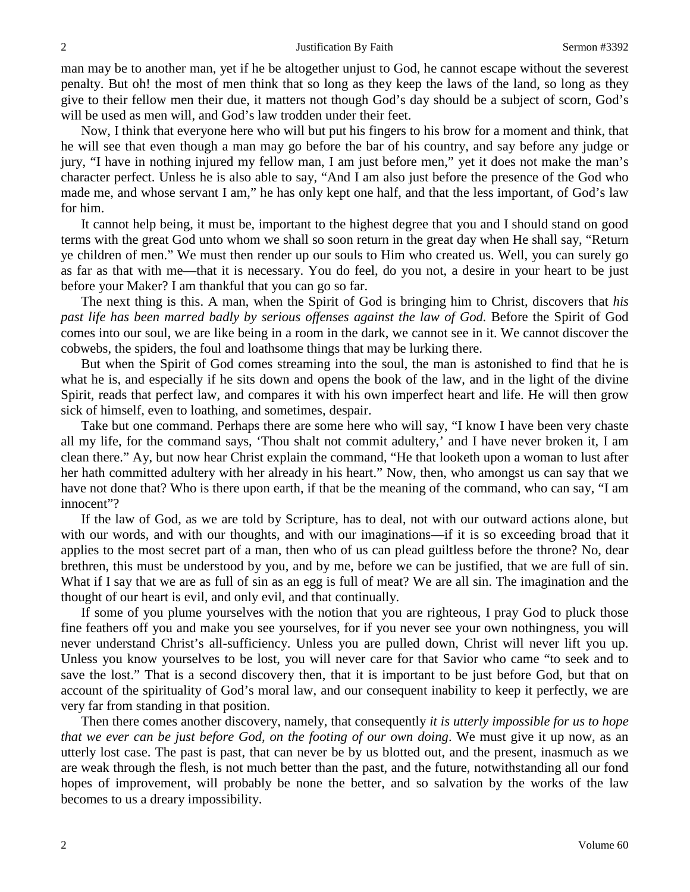man may be to another man, yet if he be altogether unjust to God, he cannot escape without the severest penalty. But oh! the most of men think that so long as they keep the laws of the land, so long as they give to their fellow men their due, it matters not though God's day should be a subject of scorn, God's will be used as men will, and God's law trodden under their feet.

Now, I think that everyone here who will but put his fingers to his brow for a moment and think, that he will see that even though a man may go before the bar of his country, and say before any judge or jury, "I have in nothing injured my fellow man, I am just before men," yet it does not make the man's character perfect. Unless he is also able to say, "And I am also just before the presence of the God who made me, and whose servant I am," he has only kept one half, and that the less important, of God's law for him.

It cannot help being, it must be, important to the highest degree that you and I should stand on good terms with the great God unto whom we shall so soon return in the great day when He shall say, "Return ye children of men." We must then render up our souls to Him who created us. Well, you can surely go as far as that with me—that it is necessary. You do feel, do you not, a desire in your heart to be just before your Maker? I am thankful that you can go so far.

The next thing is this. A man, when the Spirit of God is bringing him to Christ, discovers that *his past life has been marred badly by serious offenses against the law of God.* Before the Spirit of God comes into our soul, we are like being in a room in the dark, we cannot see in it. We cannot discover the cobwebs, the spiders, the foul and loathsome things that may be lurking there.

But when the Spirit of God comes streaming into the soul, the man is astonished to find that he is what he is, and especially if he sits down and opens the book of the law, and in the light of the divine Spirit, reads that perfect law, and compares it with his own imperfect heart and life. He will then grow sick of himself, even to loathing, and sometimes, despair.

Take but one command. Perhaps there are some here who will say, "I know I have been very chaste all my life, for the command says, 'Thou shalt not commit adultery,' and I have never broken it, I am clean there." Ay, but now hear Christ explain the command, "He that looketh upon a woman to lust after her hath committed adultery with her already in his heart." Now, then, who amongst us can say that we have not done that? Who is there upon earth, if that be the meaning of the command, who can say, "I am innocent"?

If the law of God, as we are told by Scripture, has to deal, not with our outward actions alone, but with our words, and with our thoughts, and with our imaginations—if it is so exceeding broad that it applies to the most secret part of a man, then who of us can plead guiltless before the throne? No, dear brethren, this must be understood by you, and by me, before we can be justified, that we are full of sin. What if I say that we are as full of sin as an egg is full of meat? We are all sin. The imagination and the thought of our heart is evil, and only evil, and that continually.

If some of you plume yourselves with the notion that you are righteous, I pray God to pluck those fine feathers off you and make you see yourselves, for if you never see your own nothingness, you will never understand Christ's all-sufficiency. Unless you are pulled down, Christ will never lift you up. Unless you know yourselves to be lost, you will never care for that Savior who came "to seek and to save the lost." That is a second discovery then, that it is important to be just before God, but that on account of the spirituality of God's moral law, and our consequent inability to keep it perfectly, we are very far from standing in that position.

Then there comes another discovery, namely, that consequently *it is utterly impossible for us to hope that we ever can be just before God, on the footing of our own doing*. We must give it up now, as an utterly lost case. The past is past, that can never be by us blotted out, and the present, inasmuch as we are weak through the flesh, is not much better than the past, and the future, notwithstanding all our fond hopes of improvement, will probably be none the better, and so salvation by the works of the law becomes to us a dreary impossibility.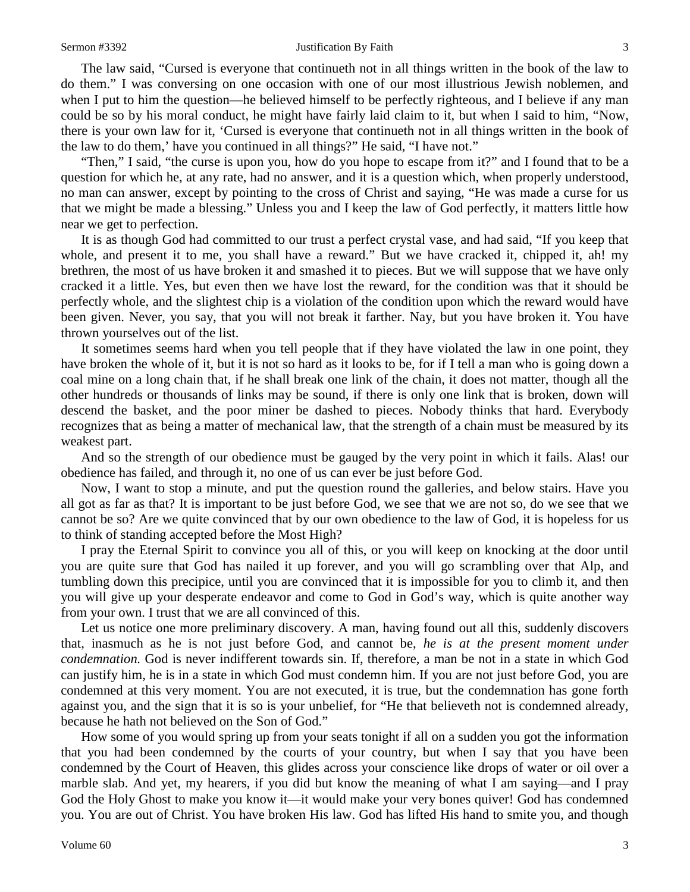#### Sermon #3392 Justification By Faith 3

The law said, "Cursed is everyone that continueth not in all things written in the book of the law to do them." I was conversing on one occasion with one of our most illustrious Jewish noblemen, and when I put to him the question—he believed himself to be perfectly righteous, and I believe if any man could be so by his moral conduct, he might have fairly laid claim to it, but when I said to him, "Now, there is your own law for it, 'Cursed is everyone that continueth not in all things written in the book of the law to do them,' have you continued in all things?" He said, "I have not."

"Then," I said, "the curse is upon you, how do you hope to escape from it?" and I found that to be a question for which he, at any rate, had no answer, and it is a question which, when properly understood, no man can answer, except by pointing to the cross of Christ and saying, "He was made a curse for us that we might be made a blessing." Unless you and I keep the law of God perfectly, it matters little how near we get to perfection.

It is as though God had committed to our trust a perfect crystal vase, and had said, "If you keep that whole, and present it to me, you shall have a reward." But we have cracked it, chipped it, ah! my brethren, the most of us have broken it and smashed it to pieces. But we will suppose that we have only cracked it a little. Yes, but even then we have lost the reward, for the condition was that it should be perfectly whole, and the slightest chip is a violation of the condition upon which the reward would have been given. Never, you say, that you will not break it farther. Nay, but you have broken it. You have thrown yourselves out of the list.

It sometimes seems hard when you tell people that if they have violated the law in one point, they have broken the whole of it, but it is not so hard as it looks to be, for if I tell a man who is going down a coal mine on a long chain that, if he shall break one link of the chain, it does not matter, though all the other hundreds or thousands of links may be sound, if there is only one link that is broken, down will descend the basket, and the poor miner be dashed to pieces. Nobody thinks that hard. Everybody recognizes that as being a matter of mechanical law, that the strength of a chain must be measured by its weakest part.

And so the strength of our obedience must be gauged by the very point in which it fails. Alas! our obedience has failed, and through it, no one of us can ever be just before God.

Now, I want to stop a minute, and put the question round the galleries, and below stairs. Have you all got as far as that? It is important to be just before God, we see that we are not so, do we see that we cannot be so? Are we quite convinced that by our own obedience to the law of God, it is hopeless for us to think of standing accepted before the Most High?

I pray the Eternal Spirit to convince you all of this, or you will keep on knocking at the door until you are quite sure that God has nailed it up forever, and you will go scrambling over that Alp, and tumbling down this precipice, until you are convinced that it is impossible for you to climb it, and then you will give up your desperate endeavor and come to God in God's way, which is quite another way from your own. I trust that we are all convinced of this.

Let us notice one more preliminary discovery. A man, having found out all this, suddenly discovers that, inasmuch as he is not just before God, and cannot be, *he is at the present moment under condemnation.* God is never indifferent towards sin. If, therefore, a man be not in a state in which God can justify him, he is in a state in which God must condemn him. If you are not just before God, you are condemned at this very moment. You are not executed, it is true, but the condemnation has gone forth against you, and the sign that it is so is your unbelief, for "He that believeth not is condemned already, because he hath not believed on the Son of God."

How some of you would spring up from your seats tonight if all on a sudden you got the information that you had been condemned by the courts of your country, but when I say that you have been condemned by the Court of Heaven, this glides across your conscience like drops of water or oil over a marble slab. And yet, my hearers, if you did but know the meaning of what I am saying—and I pray God the Holy Ghost to make you know it—it would make your very bones quiver! God has condemned you. You are out of Christ. You have broken His law. God has lifted His hand to smite you, and though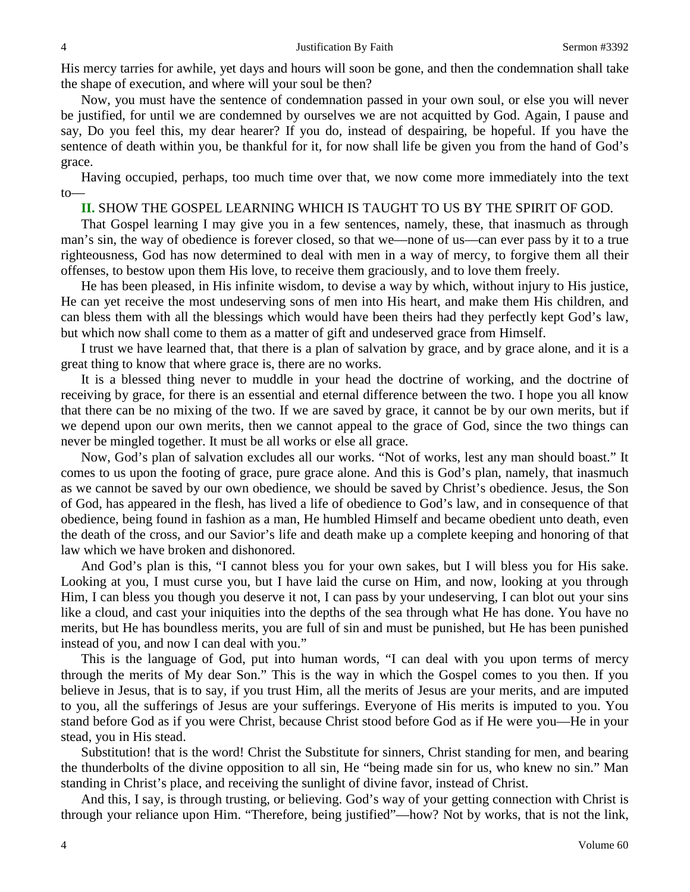His mercy tarries for awhile, yet days and hours will soon be gone, and then the condemnation shall take the shape of execution, and where will your soul be then?

Now, you must have the sentence of condemnation passed in your own soul, or else you will never be justified, for until we are condemned by ourselves we are not acquitted by God. Again, I pause and say, Do you feel this, my dear hearer? If you do, instead of despairing, be hopeful. If you have the sentence of death within you, be thankful for it, for now shall life be given you from the hand of God's grace.

Having occupied, perhaps, too much time over that, we now come more immediately into the text to—

### **II.** SHOW THE GOSPEL LEARNING WHICH IS TAUGHT TO US BY THE SPIRIT OF GOD.

That Gospel learning I may give you in a few sentences, namely, these, that inasmuch as through man's sin, the way of obedience is forever closed, so that we—none of us—can ever pass by it to a true righteousness, God has now determined to deal with men in a way of mercy, to forgive them all their offenses, to bestow upon them His love, to receive them graciously, and to love them freely.

He has been pleased, in His infinite wisdom, to devise a way by which, without injury to His justice, He can yet receive the most undeserving sons of men into His heart, and make them His children, and can bless them with all the blessings which would have been theirs had they perfectly kept God's law, but which now shall come to them as a matter of gift and undeserved grace from Himself.

I trust we have learned that, that there is a plan of salvation by grace, and by grace alone, and it is a great thing to know that where grace is, there are no works.

It is a blessed thing never to muddle in your head the doctrine of working, and the doctrine of receiving by grace, for there is an essential and eternal difference between the two. I hope you all know that there can be no mixing of the two. If we are saved by grace, it cannot be by our own merits, but if we depend upon our own merits, then we cannot appeal to the grace of God, since the two things can never be mingled together. It must be all works or else all grace.

Now, God's plan of salvation excludes all our works. "Not of works, lest any man should boast." It comes to us upon the footing of grace, pure grace alone. And this is God's plan, namely, that inasmuch as we cannot be saved by our own obedience, we should be saved by Christ's obedience. Jesus, the Son of God, has appeared in the flesh, has lived a life of obedience to God's law, and in consequence of that obedience, being found in fashion as a man, He humbled Himself and became obedient unto death, even the death of the cross, and our Savior's life and death make up a complete keeping and honoring of that law which we have broken and dishonored.

And God's plan is this, "I cannot bless you for your own sakes, but I will bless you for His sake. Looking at you, I must curse you, but I have laid the curse on Him, and now, looking at you through Him, I can bless you though you deserve it not, I can pass by your undeserving, I can blot out your sins like a cloud, and cast your iniquities into the depths of the sea through what He has done. You have no merits, but He has boundless merits, you are full of sin and must be punished, but He has been punished instead of you, and now I can deal with you."

This is the language of God, put into human words, "I can deal with you upon terms of mercy through the merits of My dear Son." This is the way in which the Gospel comes to you then. If you believe in Jesus, that is to say, if you trust Him, all the merits of Jesus are your merits, and are imputed to you, all the sufferings of Jesus are your sufferings. Everyone of His merits is imputed to you. You stand before God as if you were Christ, because Christ stood before God as if He were you—He in your stead, you in His stead.

Substitution! that is the word! Christ the Substitute for sinners, Christ standing for men, and bearing the thunderbolts of the divine opposition to all sin, He "being made sin for us, who knew no sin." Man standing in Christ's place, and receiving the sunlight of divine favor, instead of Christ.

And this, I say, is through trusting, or believing. God's way of your getting connection with Christ is through your reliance upon Him. "Therefore, being justified"—how? Not by works, that is not the link,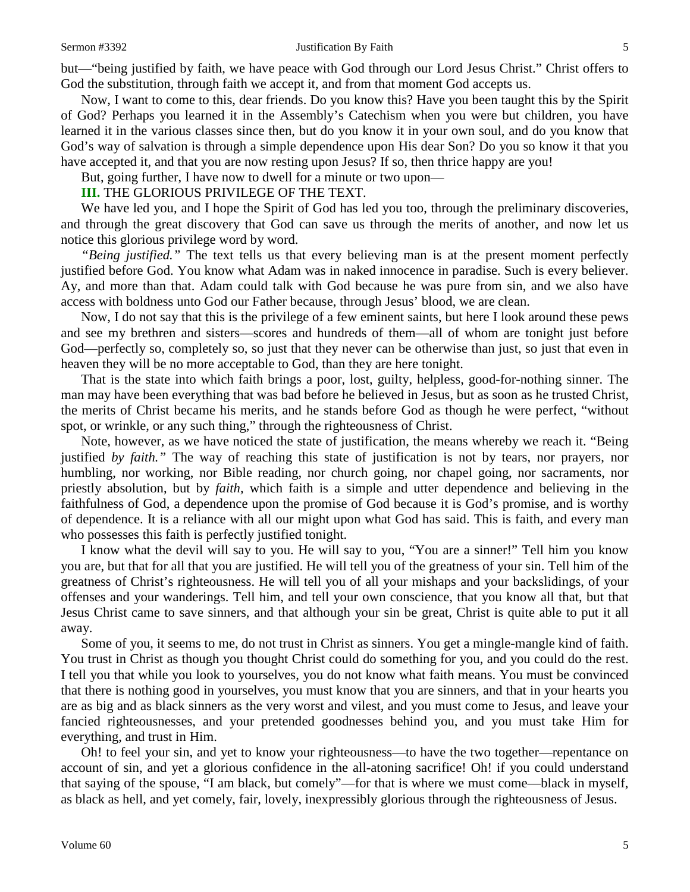#### Sermon #3392 Justification By Faith 5

but—"being justified by faith, we have peace with God through our Lord Jesus Christ." Christ offers to God the substitution, through faith we accept it, and from that moment God accepts us.

Now, I want to come to this, dear friends. Do you know this? Have you been taught this by the Spirit of God? Perhaps you learned it in the Assembly's Catechism when you were but children, you have learned it in the various classes since then, but do you know it in your own soul, and do you know that God's way of salvation is through a simple dependence upon His dear Son? Do you so know it that you have accepted it, and that you are now resting upon Jesus? If so, then thrice happy are you!

But, going further, I have now to dwell for a minute or two upon—

### **III.** THE GLORIOUS PRIVILEGE OF THE TEXT.

We have led you, and I hope the Spirit of God has led you too, through the preliminary discoveries, and through the great discovery that God can save us through the merits of another, and now let us notice this glorious privilege word by word.

*"Being justified."* The text tells us that every believing man is at the present moment perfectly justified before God. You know what Adam was in naked innocence in paradise. Such is every believer. Ay, and more than that. Adam could talk with God because he was pure from sin, and we also have access with boldness unto God our Father because, through Jesus' blood, we are clean.

Now, I do not say that this is the privilege of a few eminent saints, but here I look around these pews and see my brethren and sisters—scores and hundreds of them—all of whom are tonight just before God—perfectly so, completely so, so just that they never can be otherwise than just, so just that even in heaven they will be no more acceptable to God, than they are here tonight.

That is the state into which faith brings a poor, lost, guilty, helpless, good-for-nothing sinner. The man may have been everything that was bad before he believed in Jesus, but as soon as he trusted Christ, the merits of Christ became his merits, and he stands before God as though he were perfect, "without spot, or wrinkle, or any such thing," through the righteousness of Christ.

Note, however, as we have noticed the state of justification, the means whereby we reach it. "Being justified *by faith."* The way of reaching this state of justification is not by tears, nor prayers, nor humbling, nor working, nor Bible reading, nor church going, nor chapel going, nor sacraments, nor priestly absolution, but by *faith,* which faith is a simple and utter dependence and believing in the faithfulness of God, a dependence upon the promise of God because it is God's promise, and is worthy of dependence. It is a reliance with all our might upon what God has said. This is faith, and every man who possesses this faith is perfectly justified tonight.

I know what the devil will say to you. He will say to you, "You are a sinner!" Tell him you know you are, but that for all that you are justified. He will tell you of the greatness of your sin. Tell him of the greatness of Christ's righteousness. He will tell you of all your mishaps and your backslidings, of your offenses and your wanderings. Tell him, and tell your own conscience, that you know all that, but that Jesus Christ came to save sinners, and that although your sin be great, Christ is quite able to put it all away.

Some of you, it seems to me, do not trust in Christ as sinners. You get a mingle-mangle kind of faith. You trust in Christ as though you thought Christ could do something for you, and you could do the rest. I tell you that while you look to yourselves, you do not know what faith means. You must be convinced that there is nothing good in yourselves, you must know that you are sinners, and that in your hearts you are as big and as black sinners as the very worst and vilest, and you must come to Jesus, and leave your fancied righteousnesses, and your pretended goodnesses behind you, and you must take Him for everything, and trust in Him.

Oh! to feel your sin, and yet to know your righteousness—to have the two together—repentance on account of sin, and yet a glorious confidence in the all-atoning sacrifice! Oh! if you could understand that saying of the spouse, "I am black, but comely"—for that is where we must come—black in myself, as black as hell, and yet comely, fair, lovely, inexpressibly glorious through the righteousness of Jesus.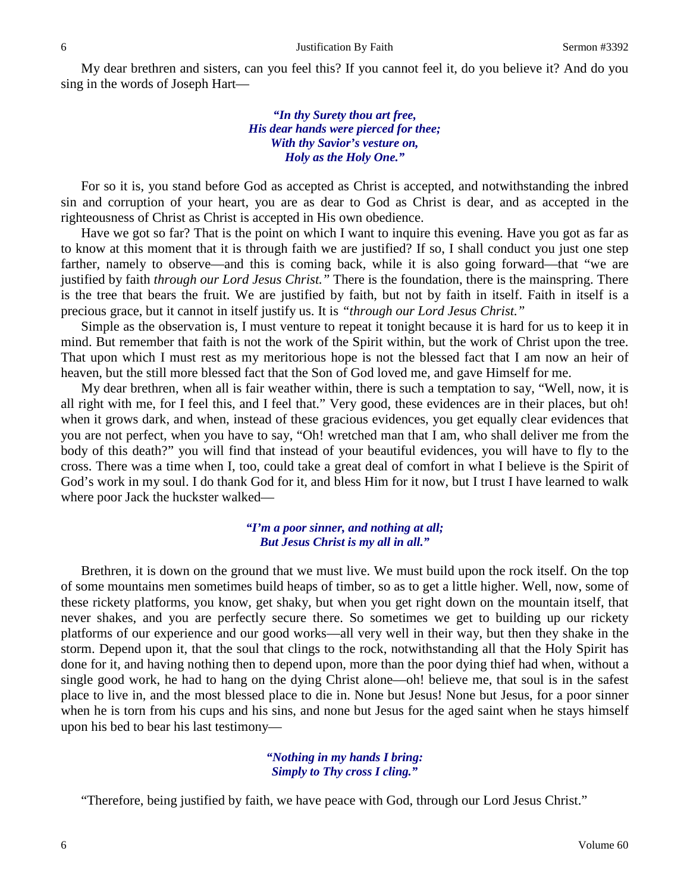My dear brethren and sisters, can you feel this? If you cannot feel it, do you believe it? And do you sing in the words of Joseph Hart—

> *"In thy Surety thou art free, His dear hands were pierced for thee; With thy Savior's vesture on, Holy as the Holy One."*

For so it is, you stand before God as accepted as Christ is accepted, and notwithstanding the inbred sin and corruption of your heart, you are as dear to God as Christ is dear, and as accepted in the righteousness of Christ as Christ is accepted in His own obedience.

Have we got so far? That is the point on which I want to inquire this evening. Have you got as far as to know at this moment that it is through faith we are justified? If so, I shall conduct you just one step farther, namely to observe—and this is coming back, while it is also going forward—that "we are justified by faith *through our Lord Jesus Christ."* There is the foundation, there is the mainspring. There is the tree that bears the fruit. We are justified by faith, but not by faith in itself. Faith in itself is a precious grace, but it cannot in itself justify us. It is *"through our Lord Jesus Christ."*

Simple as the observation is, I must venture to repeat it tonight because it is hard for us to keep it in mind. But remember that faith is not the work of the Spirit within, but the work of Christ upon the tree. That upon which I must rest as my meritorious hope is not the blessed fact that I am now an heir of heaven, but the still more blessed fact that the Son of God loved me, and gave Himself for me.

My dear brethren, when all is fair weather within, there is such a temptation to say, "Well, now, it is all right with me, for I feel this, and I feel that." Very good, these evidences are in their places, but oh! when it grows dark, and when, instead of these gracious evidences, you get equally clear evidences that you are not perfect, when you have to say, "Oh! wretched man that I am, who shall deliver me from the body of this death?" you will find that instead of your beautiful evidences, you will have to fly to the cross. There was a time when I, too, could take a great deal of comfort in what I believe is the Spirit of God's work in my soul. I do thank God for it, and bless Him for it now, but I trust I have learned to walk where poor Jack the huckster walked—

### *"I'm a poor sinner, and nothing at all; But Jesus Christ is my all in all."*

Brethren, it is down on the ground that we must live. We must build upon the rock itself. On the top of some mountains men sometimes build heaps of timber, so as to get a little higher. Well, now, some of these rickety platforms, you know, get shaky, but when you get right down on the mountain itself, that never shakes, and you are perfectly secure there. So sometimes we get to building up our rickety platforms of our experience and our good works—all very well in their way, but then they shake in the storm. Depend upon it, that the soul that clings to the rock, notwithstanding all that the Holy Spirit has done for it, and having nothing then to depend upon, more than the poor dying thief had when, without a single good work, he had to hang on the dying Christ alone—oh! believe me, that soul is in the safest place to live in, and the most blessed place to die in. None but Jesus! None but Jesus, for a poor sinner when he is torn from his cups and his sins, and none but Jesus for the aged saint when he stays himself upon his bed to bear his last testimony—

#### *"Nothing in my hands I bring: Simply to Thy cross I cling."*

"Therefore, being justified by faith, we have peace with God, through our Lord Jesus Christ."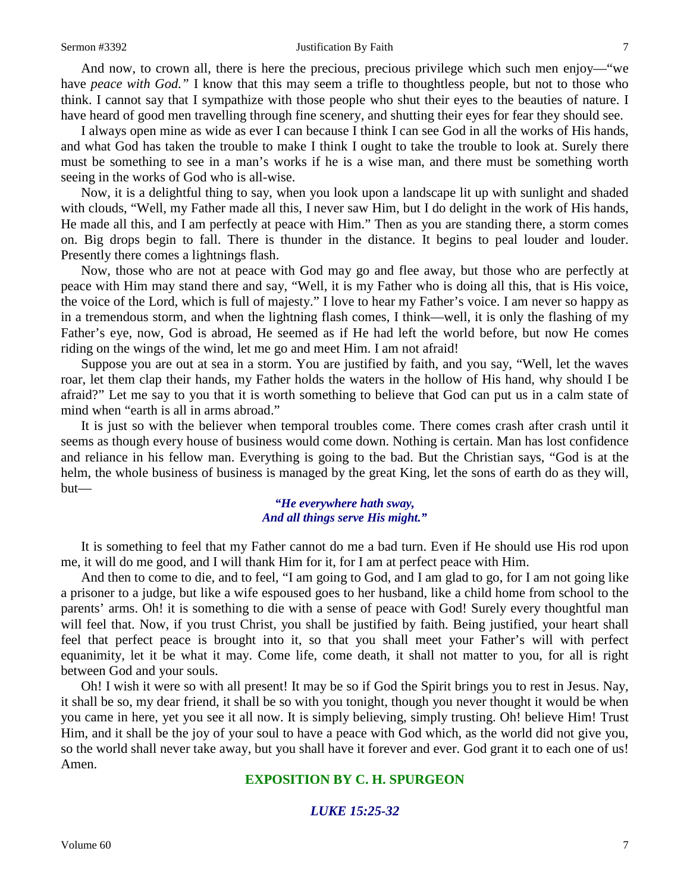#### Sermon #3392 Justification By Faith 7

And now, to crown all, there is here the precious, precious privilege which such men enjoy—"we have *peace with God."* I know that this may seem a trifle to thoughtless people, but not to those who think. I cannot say that I sympathize with those people who shut their eyes to the beauties of nature. I have heard of good men travelling through fine scenery, and shutting their eyes for fear they should see.

I always open mine as wide as ever I can because I think I can see God in all the works of His hands, and what God has taken the trouble to make I think I ought to take the trouble to look at. Surely there must be something to see in a man's works if he is a wise man, and there must be something worth seeing in the works of God who is all-wise.

Now, it is a delightful thing to say, when you look upon a landscape lit up with sunlight and shaded with clouds, "Well, my Father made all this, I never saw Him, but I do delight in the work of His hands, He made all this, and I am perfectly at peace with Him." Then as you are standing there, a storm comes on. Big drops begin to fall. There is thunder in the distance. It begins to peal louder and louder. Presently there comes a lightnings flash.

Now, those who are not at peace with God may go and flee away, but those who are perfectly at peace with Him may stand there and say, "Well, it is my Father who is doing all this, that is His voice, the voice of the Lord, which is full of majesty." I love to hear my Father's voice. I am never so happy as in a tremendous storm, and when the lightning flash comes, I think—well, it is only the flashing of my Father's eye, now, God is abroad, He seemed as if He had left the world before, but now He comes riding on the wings of the wind, let me go and meet Him. I am not afraid!

Suppose you are out at sea in a storm. You are justified by faith, and you say, "Well, let the waves roar, let them clap their hands, my Father holds the waters in the hollow of His hand, why should I be afraid?" Let me say to you that it is worth something to believe that God can put us in a calm state of mind when "earth is all in arms abroad."

It is just so with the believer when temporal troubles come. There comes crash after crash until it seems as though every house of business would come down. Nothing is certain. Man has lost confidence and reliance in his fellow man. Everything is going to the bad. But the Christian says, "God is at the helm, the whole business of business is managed by the great King, let the sons of earth do as they will, but—

# *"He everywhere hath sway, And all things serve His might."*

It is something to feel that my Father cannot do me a bad turn. Even if He should use His rod upon me, it will do me good, and I will thank Him for it, for I am at perfect peace with Him.

And then to come to die, and to feel, "I am going to God, and I am glad to go, for I am not going like a prisoner to a judge, but like a wife espoused goes to her husband, like a child home from school to the parents' arms. Oh! it is something to die with a sense of peace with God! Surely every thoughtful man will feel that. Now, if you trust Christ, you shall be justified by faith. Being justified, your heart shall feel that perfect peace is brought into it, so that you shall meet your Father's will with perfect equanimity, let it be what it may. Come life, come death, it shall not matter to you, for all is right between God and your souls.

Oh! I wish it were so with all present! It may be so if God the Spirit brings you to rest in Jesus. Nay, it shall be so, my dear friend, it shall be so with you tonight, though you never thought it would be when you came in here, yet you see it all now. It is simply believing, simply trusting. Oh! believe Him! Trust Him, and it shall be the joy of your soul to have a peace with God which, as the world did not give you, so the world shall never take away, but you shall have it forever and ever. God grant it to each one of us! Amen.

# **EXPOSITION BY C. H. SPURGEON**

# *LUKE 15:25-32*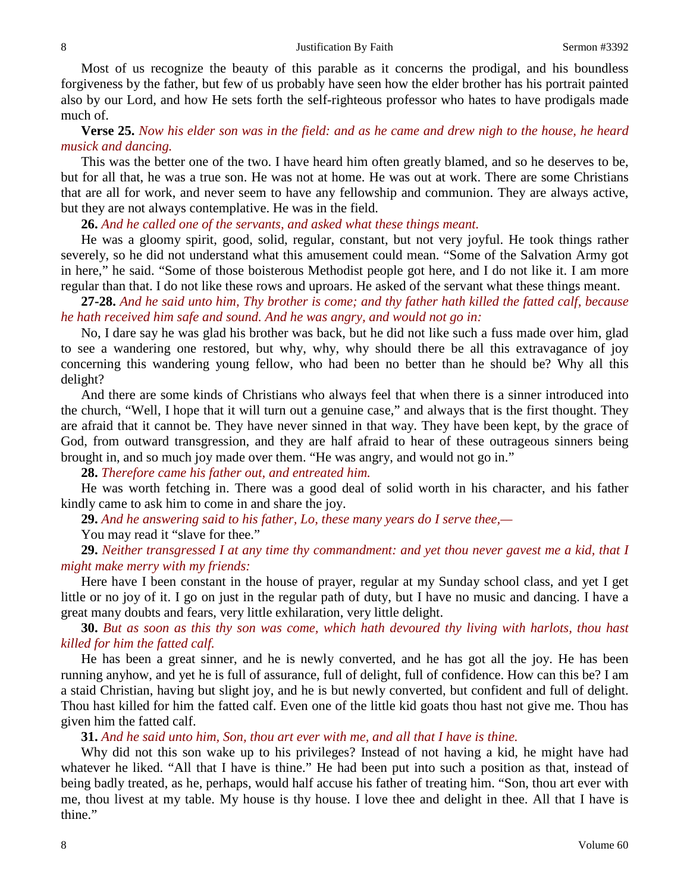#### 8 **Substitution By Faith** Sermon #3392

Most of us recognize the beauty of this parable as it concerns the prodigal, and his boundless forgiveness by the father, but few of us probably have seen how the elder brother has his portrait painted also by our Lord, and how He sets forth the self-righteous professor who hates to have prodigals made much of.

**Verse 25.** *Now his elder son was in the field: and as he came and drew nigh to the house, he heard musick and dancing.*

This was the better one of the two. I have heard him often greatly blamed, and so he deserves to be, but for all that, he was a true son. He was not at home. He was out at work. There are some Christians that are all for work, and never seem to have any fellowship and communion. They are always active, but they are not always contemplative. He was in the field.

**26.** *And he called one of the servants, and asked what these things meant.*

He was a gloomy spirit, good, solid, regular, constant, but not very joyful. He took things rather severely, so he did not understand what this amusement could mean. "Some of the Salvation Army got in here," he said. "Some of those boisterous Methodist people got here, and I do not like it. I am more regular than that. I do not like these rows and uproars. He asked of the servant what these things meant.

**27-28.** *And he said unto him, Thy brother is come; and thy father hath killed the fatted calf, because he hath received him safe and sound. And he was angry, and would not go in:*

No, I dare say he was glad his brother was back, but he did not like such a fuss made over him, glad to see a wandering one restored, but why, why, why should there be all this extravagance of joy concerning this wandering young fellow, who had been no better than he should be? Why all this delight?

And there are some kinds of Christians who always feel that when there is a sinner introduced into the church, "Well, I hope that it will turn out a genuine case," and always that is the first thought. They are afraid that it cannot be. They have never sinned in that way. They have been kept, by the grace of God, from outward transgression, and they are half afraid to hear of these outrageous sinners being brought in, and so much joy made over them. "He was angry, and would not go in."

**28.** *Therefore came his father out, and entreated him.*

He was worth fetching in. There was a good deal of solid worth in his character, and his father kindly came to ask him to come in and share the joy.

**29.** *And he answering said to his father, Lo, these many years do I serve thee,—*

You may read it "slave for thee."

**29.** *Neither transgressed I at any time thy commandment: and yet thou never gavest me a kid, that I might make merry with my friends:*

Here have I been constant in the house of prayer, regular at my Sunday school class, and yet I get little or no joy of it. I go on just in the regular path of duty, but I have no music and dancing. I have a great many doubts and fears, very little exhilaration, very little delight.

**30.** *But as soon as this thy son was come, which hath devoured thy living with harlots, thou hast killed for him the fatted calf.*

He has been a great sinner, and he is newly converted, and he has got all the joy. He has been running anyhow, and yet he is full of assurance, full of delight, full of confidence. How can this be? I am a staid Christian, having but slight joy, and he is but newly converted, but confident and full of delight. Thou hast killed for him the fatted calf. Even one of the little kid goats thou hast not give me. Thou has given him the fatted calf.

**31.** *And he said unto him, Son, thou art ever with me, and all that I have is thine.*

Why did not this son wake up to his privileges? Instead of not having a kid, he might have had whatever he liked. "All that I have is thine." He had been put into such a position as that, instead of being badly treated, as he, perhaps, would half accuse his father of treating him. "Son, thou art ever with me, thou livest at my table. My house is thy house. I love thee and delight in thee. All that I have is thine."